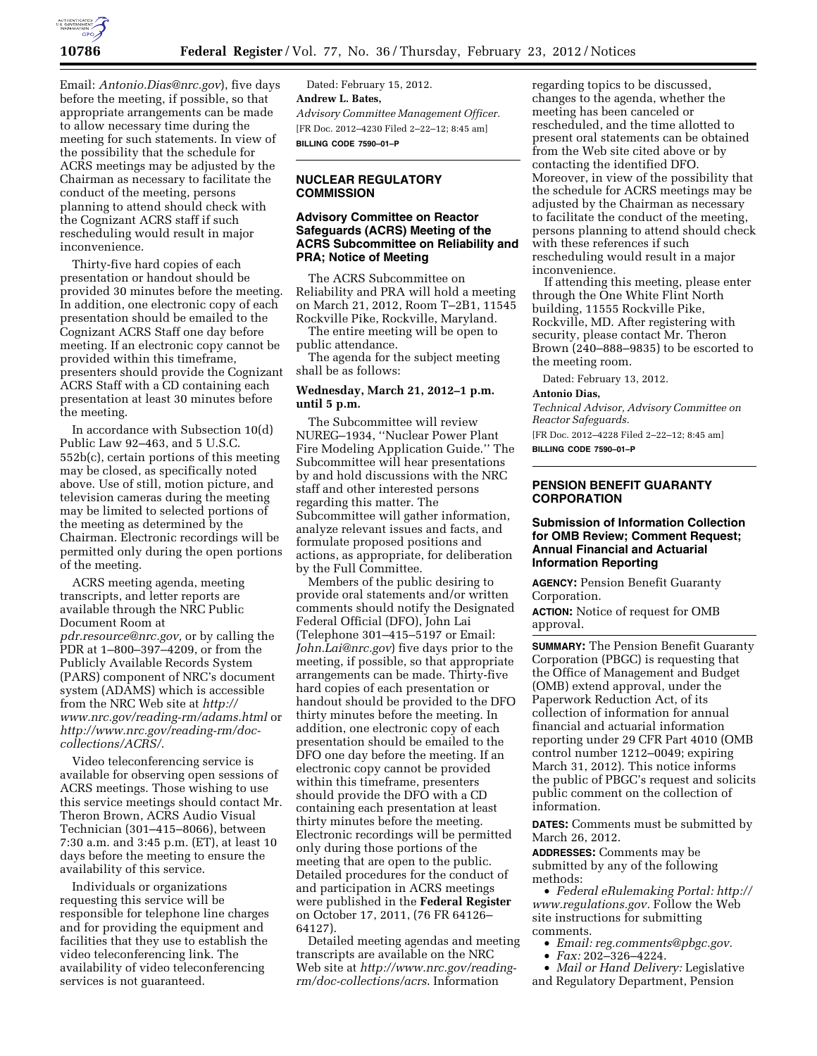

Email: *Antonio.Dias@nrc.gov*), five days before the meeting, if possible, so that appropriate arrangements can be made to allow necessary time during the meeting for such statements. In view of the possibility that the schedule for ACRS meetings may be adjusted by the Chairman as necessary to facilitate the conduct of the meeting, persons planning to attend should check with the Cognizant ACRS staff if such rescheduling would result in major inconvenience.

Thirty-five hard copies of each presentation or handout should be provided 30 minutes before the meeting. In addition, one electronic copy of each presentation should be emailed to the Cognizant ACRS Staff one day before meeting. If an electronic copy cannot be provided within this timeframe, presenters should provide the Cognizant ACRS Staff with a CD containing each presentation at least 30 minutes before the meeting.

In accordance with Subsection 10(d) Public Law 92–463, and 5 U.S.C. 552b(c), certain portions of this meeting may be closed, as specifically noted above. Use of still, motion picture, and television cameras during the meeting may be limited to selected portions of the meeting as determined by the Chairman. Electronic recordings will be permitted only during the open portions of the meeting.

ACRS meeting agenda, meeting transcripts, and letter reports are available through the NRC Public Document Room at *pdr.resource@nrc.gov,* or by calling the PDR at 1–800–397–4209, or from the Publicly Available Records System (PARS) component of NRC's document system (ADAMS) which is accessible from the NRC Web site at *http:// www.nrc.gov/reading-rm/adams.html* or *http://www.nrc.gov/reading-rm/doccollections/ACRS/*.

Video teleconferencing service is available for observing open sessions of ACRS meetings. Those wishing to use this service meetings should contact Mr. Theron Brown, ACRS Audio Visual Technician (301–415–8066), between 7:30 a.m. and 3:45 p.m. (ET), at least 10 days before the meeting to ensure the availability of this service.

Individuals or organizations requesting this service will be responsible for telephone line charges and for providing the equipment and facilities that they use to establish the video teleconferencing link. The availability of video teleconferencing services is not guaranteed.

Dated: February 15, 2012. **Andrew L. Bates,**  *Advisory Committee Management Officer.*  [FR Doc. 2012–4230 Filed 2–22–12; 8:45 am] **BILLING CODE 7590–01–P** 

#### **NUCLEAR REGULATORY COMMISSION**

## **Advisory Committee on Reactor Safeguards (ACRS) Meeting of the ACRS Subcommittee on Reliability and PRA; Notice of Meeting**

The ACRS Subcommittee on Reliability and PRA will hold a meeting on March 21, 2012, Room T–2B1, 11545 Rockville Pike, Rockville, Maryland.

The entire meeting will be open to public attendance.

The agenda for the subject meeting shall be as follows:

## **Wednesday, March 21, 2012–1 p.m. until 5 p.m.**

The Subcommittee will review NUREG–1934, ''Nuclear Power Plant Fire Modeling Application Guide.'' The Subcommittee will hear presentations by and hold discussions with the NRC staff and other interested persons regarding this matter. The Subcommittee will gather information, analyze relevant issues and facts, and formulate proposed positions and actions, as appropriate, for deliberation by the Full Committee.

Members of the public desiring to provide oral statements and/or written comments should notify the Designated Federal Official (DFO), John Lai (Telephone 301–415–5197 or Email: *John.Lai@nrc.gov*) five days prior to the meeting, if possible, so that appropriate arrangements can be made. Thirty-five hard copies of each presentation or handout should be provided to the DFO thirty minutes before the meeting. In addition, one electronic copy of each presentation should be emailed to the DFO one day before the meeting. If an electronic copy cannot be provided within this timeframe, presenters should provide the DFO with a CD containing each presentation at least thirty minutes before the meeting. Electronic recordings will be permitted only during those portions of the meeting that are open to the public. Detailed procedures for the conduct of and participation in ACRS meetings were published in the **Federal Register**  on October 17, 2011, (76 FR 64126– 64127).

Detailed meeting agendas and meeting transcripts are available on the NRC Web site at *http://www.nrc.gov/readingrm/doc-collections/acrs*. Information

regarding topics to be discussed, changes to the agenda, whether the meeting has been canceled or rescheduled, and the time allotted to present oral statements can be obtained from the Web site cited above or by contacting the identified DFO. Moreover, in view of the possibility that the schedule for ACRS meetings may be adjusted by the Chairman as necessary to facilitate the conduct of the meeting, persons planning to attend should check with these references if such rescheduling would result in a major inconvenience.

If attending this meeting, please enter through the One White Flint North building, 11555 Rockville Pike, Rockville, MD. After registering with security, please contact Mr. Theron Brown (240–888–9835) to be escorted to the meeting room.

Dated: February 13, 2012.

#### **Antonio Dias,**

*Technical Advisor, Advisory Committee on Reactor Safeguards.* 

[FR Doc. 2012–4228 Filed 2–22–12; 8:45 am] **BILLING CODE 7590–01–P** 

## **PENSION BENEFIT GUARANTY CORPORATION**

#### **Submission of Information Collection for OMB Review; Comment Request; Annual Financial and Actuarial Information Reporting**

**AGENCY:** Pension Benefit Guaranty Corporation.

**ACTION:** Notice of request for OMB approval.

**SUMMARY:** The Pension Benefit Guaranty Corporation (PBGC) is requesting that the Office of Management and Budget (OMB) extend approval, under the Paperwork Reduction Act, of its collection of information for annual financial and actuarial information reporting under 29 CFR Part 4010 (OMB control number 1212–0049; expiring March 31, 2012). This notice informs the public of PBGC's request and solicits public comment on the collection of information.

**DATES:** Comments must be submitted by March 26, 2012.

**ADDRESSES:** Comments may be submitted by any of the following methods:

• *Federal eRulemaking Portal: http:// www.regulations.gov.* Follow the Web site instructions for submitting comments.

- *Email: reg.comments@pbgc.gov.*
- *Fax:* 202–326–4224.

• *Mail or Hand Delivery:* Legislative and Regulatory Department, Pension